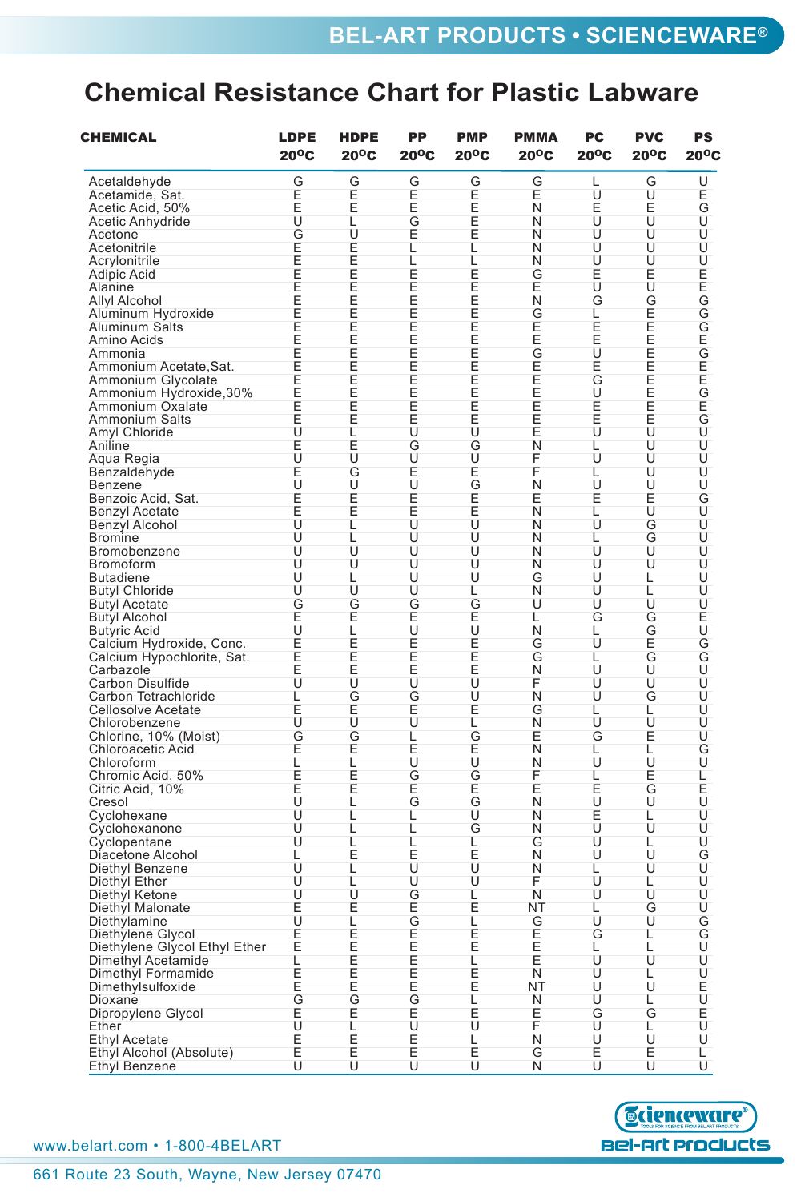## **Chemical Resistance Chart for Plastic Labware**

| CHEMICAL                      | <b>LDPE</b><br>$20^{\circ}$ C | <b>HDPE</b><br>$20^{\circ}$ C | <b>PP</b><br>$20^{\circ}$ C | <b>PMP</b><br>20°C | <b>PMMA</b><br>$20^{\circ}$ C | PC<br>$20^{\circ}$ C | <b>PVC</b><br>$20^{\circ}$ C | <b>PS</b><br>$20^{\circ}$ C |
|-------------------------------|-------------------------------|-------------------------------|-----------------------------|--------------------|-------------------------------|----------------------|------------------------------|-----------------------------|
| Acetaldehyde                  | G                             | G                             | G                           | G                  | G                             | L                    | G                            | U                           |
| Acetamide, Sat.               |                               | Ē<br>E                        |                             |                    | E                             | Ù                    | Ù                            |                             |
| Acetic Acid, 50%              | E<br>E<br>U                   |                               | E<br>E<br>G                 | EEEE               | N                             | E<br>U               | Ĕ<br>U                       | E<br>G                      |
| Acetic Anhydride              |                               | L                             |                             |                    | N                             |                      |                              |                             |
| Acetone                       | G                             | U                             | E                           |                    | N                             | U                    | U                            | U                           |
| Acetonitrile                  | E                             | E                             | L                           | L                  | Ν                             | U                    | U                            | U                           |
| Acrylonitrile                 | E                             |                               | L                           | L                  | N                             | U                    | U                            | U                           |
| <b>Adipic Acid</b>            |                               | EEEEE                         |                             |                    | G                             | Ė                    | E                            |                             |
| Alanine                       | EEEE                          |                               | EEEE                        | EEEE               | E                             | U                    | U                            | EEGGGEGEEGEGU               |
| <b>Allyl Alcohol</b>          |                               |                               |                             |                    | Ñ                             | G                    | G                            |                             |
| Aluminum Hydroxide            |                               |                               |                             |                    | G                             | L                    | E                            |                             |
| Aluminum Salts                | E                             | E                             | E                           | E                  | E                             | E                    | E                            |                             |
| Amino Acids                   | E                             | E                             | E                           | E                  | E                             | E                    | E                            |                             |
| Ammonia                       |                               |                               |                             |                    |                               |                      |                              |                             |
| Ammonium Acetate, Sat.        | EEEE                          | EEEE                          | EEEEEE                      | EEEE               | GEE                           | U<br>E<br>G<br>U     | EEEEE                        |                             |
| Ammonium Glycolate            |                               |                               |                             |                    |                               |                      |                              |                             |
| Ammonium Hydroxide, 30%       |                               |                               |                             |                    |                               |                      |                              |                             |
| Ammonium Oxalate              | E                             |                               |                             | E                  | E                             | E                    |                              |                             |
| Ammonium Salts                | E                             | E<br>E                        |                             | E                  | E                             | E                    | E                            |                             |
|                               | U                             | L                             | U                           | U                  | E                             | U                    | U                            |                             |
| Amyl Chloride                 |                               |                               |                             |                    | N                             |                      |                              | Ü                           |
| Aniline                       | Ĕ<br>U                        | Ē<br>U                        | G                           | G                  |                               | L                    | U                            |                             |
| Aqua Regia                    |                               |                               | U                           | Ú                  | F                             | Ù                    | Ü                            | U                           |
| Benzaldehyde                  | E<br>U                        | G                             | E<br>U                      | E                  | F                             | L                    | U                            | U                           |
| Benzene                       |                               | U                             |                             | G                  | N                             | U                    | U                            | U                           |
| Benzoic Acid, Sat.            | E                             | E                             | E                           | E                  | Ε                             | E                    | E                            | Ğ<br>U                      |
| <b>Benzyl Acetate</b>         | E                             | E                             | E                           | Ē<br>U             | N                             | L                    | U                            |                             |
| Benzyl Alcohol                | Ù                             | L                             | Ù                           |                    | N                             | Ù                    | Ğ<br>G                       | Ü                           |
| <b>Bromine</b>                | U                             | L                             | U                           | U                  | N                             | L                    |                              | ŭ                           |
| Bromobenzene                  | U                             | U                             | U                           | U                  | N                             | U                    | Ù                            | U                           |
| Bromoform                     | U                             | U                             | U                           | U                  | N                             | U                    | Ù                            | U                           |
| <b>Butadiene</b>              | U                             | L                             | U                           | U                  | G                             | U                    | L                            | U                           |
| <b>Butyl Chloride</b>         | U                             | U                             | U                           | L                  | N                             | U                    | L                            | U                           |
| <b>Butyl Acetate</b>          | G<br>U                        | G                             | G<br>E<br>U                 | G<br>E<br>U        | U                             | Ù                    | Ù                            | Ú                           |
| <b>Butyl Alcohol</b>          |                               | ĚLE                           |                             |                    | L                             | G                    | G                            | EUGGU                       |
| <b>Butyric Acid</b>           |                               |                               |                             |                    | N                             | L                    | G                            |                             |
| Calcium Hydroxide, Conc.      | E                             |                               | Ē<br>E                      | E                  | G                             | U                    | E                            |                             |
| Calcium Hypochlorite, Sat.    | E                             | E                             |                             | E                  | G                             | L                    | G                            |                             |
| Carbazole                     | E                             | Ē<br>U                        | E                           | E                  | N                             | U                    | U                            |                             |
| Carbon Disulfide              | U                             |                               | U                           | Ù                  | F                             | U                    | U                            |                             |
| Carbon Tetrachloride          | L                             |                               |                             | U                  | N                             | U                    | G                            | ŭ                           |
| <b>Cellosolve Acetate</b>     |                               |                               |                             | Ĕ                  | G                             | L                    | L                            | U                           |
| Chlorobenzene                 | Ē<br>U                        | G<br>U                        | G<br>E<br>U                 | L                  | N                             | U                    | U                            | Ū<br>U                      |
| Chlorine, 10% (Moist)         | G                             | G                             | L                           | G                  | Ε                             | G                    | E                            |                             |
| Chloroacetic Acid             | E                             | E                             | E                           | E                  | N                             | L                    | L                            | Ğ<br>U                      |
| Chloroform                    | L                             | L                             | U                           | U                  | N                             | U                    | U                            |                             |
| Chromic Acid, 50%             | E<br>E<br>U                   | Ē<br>E                        | G                           |                    | F                             | L                    |                              |                             |
| Citric Acid, 10%              |                               |                               | E                           | G<br>E<br>G        | E                             | Ξū                   | E<br>G                       | しもし                         |
| Cresol                        |                               | L                             | G                           |                    | N                             |                      | U                            |                             |
| Cyclohexane                   | U                             | L                             | L                           | U                  | N                             | E                    | L                            | U                           |
| Cyclohexanone                 | U                             | L                             | L                           | G                  | N                             | U                    | U                            | U                           |
| Cyclopentane                  | U                             | L                             | L                           | L                  | G                             | U                    | L                            | U                           |
| Diacetone Alcohol             | L                             | Ē                             |                             |                    | N                             | Ù                    | Ù                            | Ğ<br>U                      |
| Diethyl Benzene               | Ū                             | L                             | Ē<br>U                      | Ē<br>U             | Ν                             |                      | U                            |                             |
| Diethyl Ether                 | U                             | L                             | U                           | U                  | F                             | L<br>U               | L                            | U                           |
| Diethyl Ketone                | U                             | U                             | G                           | L                  | N                             | U                    | U                            | U                           |
| Diethyl Malonate              | E                             | Ε                             | E                           | E                  | NT                            | L                    | G                            |                             |
| Diethylamine                  | U                             | L                             | G                           | L                  | G                             | U                    | U                            |                             |
|                               |                               |                               |                             |                    |                               | G                    | L                            |                             |
| Diethylene Glycol             | E<br>E                        |                               |                             | Ē<br>E             | Ĕ<br>E                        |                      | Ĺ                            |                             |
| Diethylene Glycol Ethyl Ether |                               |                               |                             |                    | E                             | L                    |                              |                             |
| Dimethyl Acetamide            | $\frac{L}{E}$                 | EEEE                          | EEEEE                       | L                  |                               | U                    | U                            | CIMCINENE                   |
| Dimethyl Formamide            |                               |                               |                             | E                  | N                             | U                    | L                            |                             |
| Dimethylsulfoxide             | E                             | E                             |                             | E                  | NT                            | U                    | U                            |                             |
| Dioxane                       |                               | こ<br>E                        |                             | L                  | N                             | U                    | L                            |                             |
| Dipropylene Glycol            | G<br>U<br>U                   |                               | G<br>E<br>U                 | Ē<br>U             | Ε                             | Ğ<br>U               | G                            |                             |
| Ether                         |                               |                               |                             |                    | F                             |                      | L                            |                             |
| <b>Ethyl Acetate</b>          | Ĕ<br>E                        | しヒヒ                           | E<br>E                      | L                  | N                             | Ŭ                    | U                            | U                           |
| Ethyl Alcohol (Absolute)      |                               |                               |                             | E                  | G                             | E                    | Ε                            | L                           |
| <b>Ethyl Benzene</b>          | Ū                             | Ü                             | Ü                           | Ü                  | N                             | U                    | U                            | U                           |



www.belart.com • 1-800-4BELART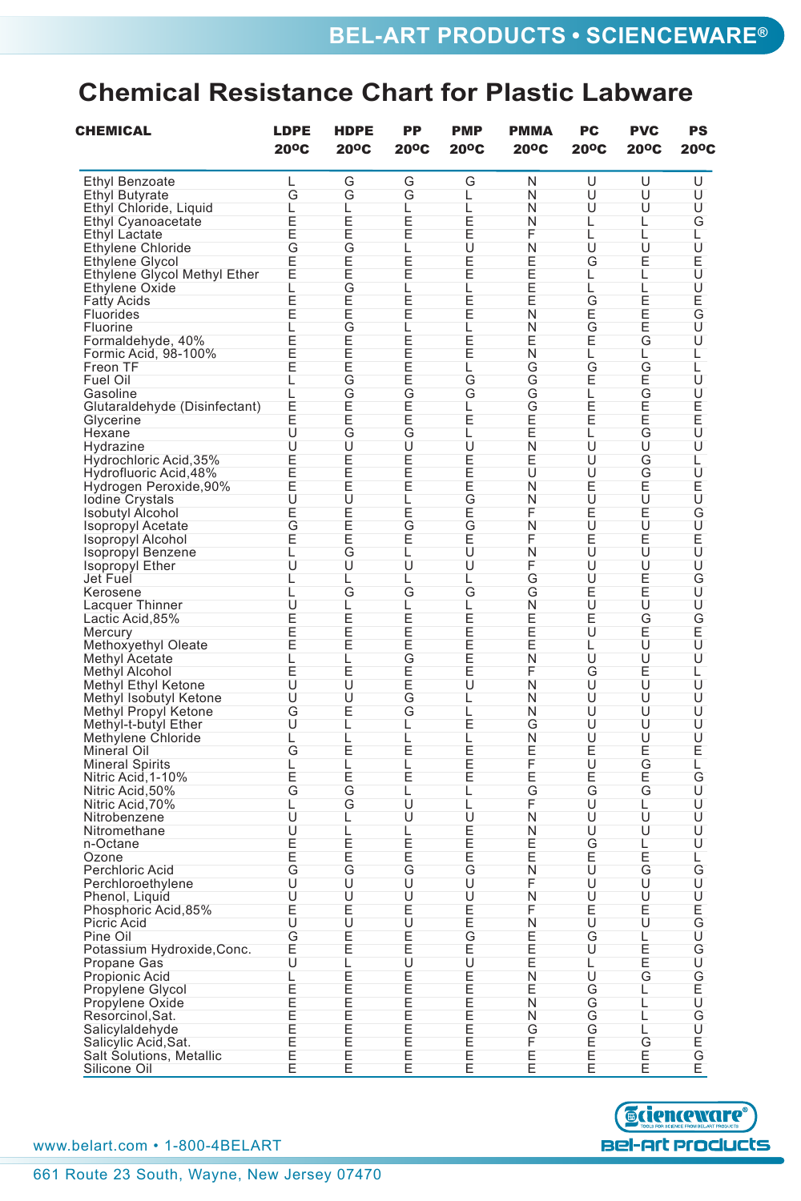## **Chemical Resistance Chart for Plastic Labware**

| <b>CHEMICAL</b>                     | <b>LDPE</b><br>$20^{\circ}$ C | <b>HDPE</b><br>$20^{\circ}$ C | PP<br>$20^{\circ}$ C | <b>PMP</b><br>$20^{\circ}$ C | <b>PMMA</b><br>$20^{\circ}$ C | PC<br>$20^{\circ}$ C | <b>PVC</b><br>$20^{\circ}$ C | PS<br>$20^{\circ}$ C |
|-------------------------------------|-------------------------------|-------------------------------|----------------------|------------------------------|-------------------------------|----------------------|------------------------------|----------------------|
| <b>Ethyl Benzoate</b>               | L                             | G                             | G                    | G                            | N                             | U                    | U                            | U                    |
| <b>Ethyl Butyrate</b>               | G                             | G                             | G                    | L                            | Ν                             | U                    | U                            | U                    |
| Ethyl Chloride, Liquid              | L                             | L                             | L                    | L                            | Ν                             | U                    | U                            | U                    |
| <b>Ethyl Cyanoacetate</b>           | E                             | E                             | E                    | E<br>E<br>U                  | Ν                             | L                    | L                            | Ğ<br>L               |
| <b>Ethyl Lactate</b>                | E                             | E                             | E                    |                              | F                             | L                    | L                            |                      |
| <b>Ethylene Chloride</b>            | G                             | i G<br>E                      | L                    |                              | N                             | U                    | U                            | U<br>E<br>U          |
| Ethylene Glycol                     | Ē                             |                               | E                    | Ē                            | E                             | G                    | E                            |                      |
| Ethylene Glycol Methyl Ether        | E                             | E                             | E                    | E                            | E                             | L                    | L                            |                      |
| Ethylene Oxide                      | L                             | GEEGEEE                       | L                    | L                            | E                             | L                    | L                            | U                    |
| <b>Fatty Acids</b>                  | E<br>E                        |                               | E<br>E               | E<br>E                       | E<br>N                        | G                    |                              |                      |
| Fluorides<br>Fluorine               | L                             |                               | L                    | Ĺ                            | N                             | E<br>G<br>E          | EEG                          | E<br>G<br>U          |
| Formaldehyde, 40%                   | E                             |                               |                      |                              | E                             |                      |                              | U                    |
| Formic Acid, 98-100%                | Ē                             |                               |                      | ÌЕ<br>Е                      | N                             | L                    | L                            | L                    |
| Freon TF                            | E                             |                               | EEE                  | L                            | G                             | G                    | G                            | L                    |
| Fuel Oil                            | L                             | G                             | E                    | G                            | G                             | E                    | E                            | U                    |
| Gasoline                            | L                             |                               | G                    | G                            | G                             | L                    |                              | U                    |
| Glutaraldehyde (Disinfectant)       | E                             | <b>FEGUEER</b>                | E                    | L                            | G                             | E                    | GEEGU                        |                      |
| Glycerine                           | こ<br>し                        |                               |                      | Ē                            | Ĕ<br>E                        | Ē                    |                              | EUU                  |
| Hexane                              |                               |                               | E<br>G<br>U          |                              |                               | L                    |                              |                      |
| Hydrazine                           | U                             |                               |                      | L<br>U                       | $\bar{N}$                     | Ù                    |                              |                      |
| Hydrochloric Acid, 35%              |                               |                               |                      |                              | Ε                             | U                    |                              |                      |
| Hydrofluoric Acid, 48%              | Ē<br>E                        |                               | EEE                  | EEE                          | U                             | U                    | G<br>G<br>E                  | L<br>U               |
| Hydrogen Peroxide, 90%              | E                             |                               |                      |                              | Ν                             | E                    |                              |                      |
|                                     | U                             | U                             | L                    |                              | N                             | U                    | U                            | Ē<br>U               |
| lodine Crystals<br>Isobutyl Alcohol | E                             | EEE                           | E                    | G<br>E<br>G                  | F                             | Ė                    | Ė                            | Ğ<br>U               |
| Isopropyl Acetate                   | G                             |                               | G                    |                              | N                             | U                    | Ù                            |                      |
| <b>Isopropyl Alcohol</b>            | E                             |                               | Ε                    | Е                            | F                             | Ē                    | Е                            | Ĕ<br>U               |
| Isopropyl Benzene                   | Г                             | G                             | L                    | U                            | N                             | U                    | U                            |                      |
| <b>Isopropyl Ether</b>              | U                             | U                             | U                    | U                            | F                             | U                    | U                            | U                    |
| Jet Fuel                            | L                             | L                             | L                    | L                            | G                             | U                    | E<br>E<br>U                  |                      |
| Kerosene                            | L                             | G                             | G                    | G                            | Ġ                             |                      |                              |                      |
| Lacquer Thinner                     | U                             | しヒヒ                           | L                    | トヒヒヒヒ                        | NEE                           | EUEU                 |                              | GUUGEU               |
| Lactic Acid, 85%                    | Ē                             |                               | E<br>E<br>E<br>E     |                              |                               |                      | Ğ<br>E<br>U                  |                      |
| Mercury                             | ÌЕ<br>Е                       |                               |                      |                              |                               |                      |                              |                      |
| Methoxyethyl Oleate                 |                               |                               |                      |                              |                               | L                    |                              |                      |
| <b>Methyl Acetate</b>               | L                             | L                             | G<br>E               |                              | N                             | U                    | U                            | U                    |
| <b>Methyl Alcohol</b>               | E                             | E                             |                      |                              | F                             | G                    | E                            | L                    |
| Methyl Ethyl Ketone                 | U                             | U                             | 三<br>G               | U                            | N                             | U                    | U                            | U                    |
| Methyl Isobutyl Ketone              | U                             | Ü                             | Ġ                    | L                            | N                             | U                    | U                            | Ü                    |
| Methyl Propyl Ketone                | G<br>Ù                        | Ĕ<br>L                        |                      | ī<br>E                       | N                             | U                    | U                            | U                    |
| Methyl-t-butyl Ether                |                               |                               | L                    |                              | G<br>N                        | U<br>U               | U<br>U                       | U<br>U               |
| Methylene Chloride<br>Mineral Oil   | L<br>G                        | $rac{L}{E}$                   | L<br>Ε               | L<br>E                       | E                             | E                    | Е                            | E                    |
| <b>Mineral Spirits</b>              | L                             | L                             | L                    | E                            | F                             | U                    | G                            | L                    |
| Nitric Acid, 1-10%                  | E                             | E                             | E                    | E                            | E                             | E                    | E                            |                      |
| Nitric Acid, 50%                    | G                             | G                             | L                    | L                            | G                             | G                    | G                            | Ğ<br>U               |
| Nitric Acid, 70%                    | L                             | G                             | Ü                    | L                            | F                             | Ù                    | L                            | U                    |
| Nitrobenzene                        | U                             | L                             | U                    | U                            | N                             | U                    | U                            | U                    |
| Nitromethane                        | U                             | L                             | L                    |                              | N                             | U                    | U                            | U                    |
| n-Octane                            |                               |                               |                      | EEE                          | E                             | G                    | L                            | U                    |
| Ozone                               | E<br>E                        | EGE                           | E<br>E               |                              | E                             | E                    | E                            | L                    |
| Perchloric Acid                     | G                             |                               | G                    | G                            | N                             | U                    | G                            |                      |
| Perchloroethylene                   | Ù                             |                               | Ú                    | Ú                            | F                             | Ù                    | Ù                            | Ğ<br>U               |
| Phenol, Liquid                      | U                             | Ū                             | U                    | UEE                          | N                             | U                    | U                            |                      |
| Phosphoric Acid, 85%                | ー<br>ロ                        | EUEE                          | EUEE                 |                              | F                             | Ĕ<br>U               | Ĕ<br>U                       |                      |
| Picric Acid                         |                               |                               |                      |                              | $\dot{\mathsf{N}}$            |                      |                              |                      |
| Pine Oil                            | G                             |                               |                      | G                            | E                             | G                    | L                            |                      |
| Potassium Hydroxide, Conc.          | E                             |                               |                      | Ē<br>U                       | E                             | U                    | Ē<br>E                       |                      |
| Propane Gas                         | U                             | L                             | U                    |                              | E                             | Г                    |                              |                      |
| Propionic Acid                      | L                             | EEEEEE                        | EEEEE                | EEEEE                        | N                             | U                    | G                            | <b>UEGUGUGEUGU</b>   |
| Propylene Glycol                    |                               |                               |                      |                              | E                             |                      | L                            |                      |
| Propylene Oxide                     |                               |                               |                      |                              | $\overline{\mathsf{N}}$       |                      | L                            |                      |
| Resorcinol, Sat.                    | EEEE                          |                               |                      |                              | Ν                             | GGGG                 | L                            |                      |
| Salicylaldehyde                     |                               |                               |                      |                              | G                             |                      | L                            |                      |
| Salicylic Acid, Sat.                | E                             |                               | E                    | E                            | F                             | E                    | G                            | E                    |
| Salt Solutions, Metallic            | E                             | E                             | E                    | E                            | E                             | E                    | E                            | G                    |
| Silicone Oil                        | E                             | E                             | E                    | E                            | E                             | E                    | Ē                            | Е                    |



www.belart.com • 1-800-4BELART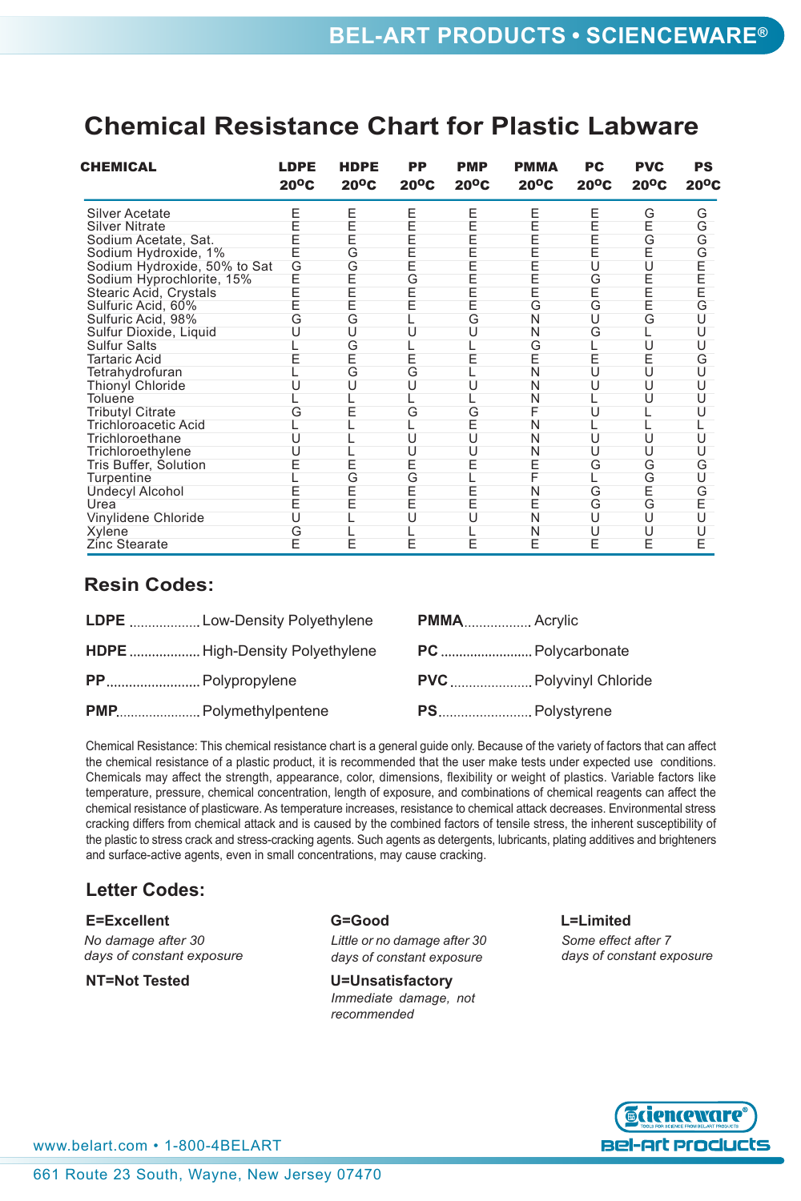### **Chemical Resistance Chart for Plastic Labware**

| CHEMICAL                     | <b>LDPE</b><br>$20^{\circ}$ C | <b>HDPE</b><br>$20^{\circ}$ C | PP<br>$20^{\circ}$ C | <b>PMP</b><br>$20^{\circ}$ C | <b>PMMA</b><br>$20^{\circ}$ C | PC<br>$20^{\circ}$ C | <b>PVC</b><br>$20^{\circ}$ C | PS<br>$20^{\circ}$ C |
|------------------------------|-------------------------------|-------------------------------|----------------------|------------------------------|-------------------------------|----------------------|------------------------------|----------------------|
| <b>Silver Acetate</b>        | E                             | E                             | E                    | E                            | Ε                             | Ε                    | G                            | G                    |
| <b>Silver Nitrate</b>        |                               | E                             | E                    | E                            | E                             | E                    | E                            | G                    |
| Sodium Acetate, Sat.         | F                             | E                             | E                    | E                            | E                             | Ē                    | G                            | G                    |
| Sodium Hydroxide, 1%         |                               | G                             | Ē                    | E                            | Ē                             | Ē                    | E                            | G                    |
| Sodium Hydroxide, 50% to Sat | G                             | G                             | E                    | E                            | Ē                             | U                    | U                            |                      |
| Sodium Hyprochlorite, 15%    | Ē                             | E                             | G                    | E                            | Ē                             | G                    | E                            | E<br>E<br>E<br>E     |
| Stearic Acid, Crystals       | F                             | E                             | E                    | E                            | E                             | E                    | E                            |                      |
| Sulfuric Acid, 60%           |                               | Ē                             |                      | E                            | G                             | G                    | Ē                            | G                    |
| Sulfuric Acid, 98%           | G                             | G                             |                      | G                            | N                             | U                    | G                            | U                    |
| Sulfur Dioxide, Liquid       |                               | U                             | U                    | U                            | N                             | G                    |                              | U                    |
| <b>Sulfur Salts</b>          |                               | G                             |                      |                              | G                             |                      | U                            |                      |
| <b>Tartaric Acid</b>         |                               | E                             | E                    |                              | E                             | E                    | E                            | G                    |
| Tetrahydrofuran              |                               | G                             | G                    |                              | N                             | U                    | U                            | U                    |
| Thionyl Chloride             |                               | U                             | U                    |                              | N                             | U                    | U                            | U                    |
| Toluene                      |                               |                               |                      |                              | N                             |                      | U                            | ιı                   |
| <b>Tributyl Citrate</b>      |                               |                               | G                    | G                            | F                             | U                    |                              |                      |
| <b>Trichloroacetic Acid</b>  |                               |                               |                      | E                            | N                             |                      |                              |                      |
| Trichloroethane              |                               |                               | U                    | U                            | N                             | U                    | U                            | U                    |
| Trichloroethylene            |                               |                               | U                    | U                            | N                             | U                    | U                            | U                    |
| Tris Buffer, Solution        |                               | E                             | E                    | E                            | E                             | G                    | G                            | G                    |
| Turpentine                   |                               | G                             | G                    |                              |                               |                      | G                            | U                    |
| <b>Undecyl Alcohol</b>       |                               | E                             | E                    | E                            | N                             | G                    | E                            | G                    |
| Urea                         | Ē                             | E                             | E                    | E                            | E                             | G                    | G                            | E                    |
| Vinylidene Chloride          |                               |                               |                      | U                            | N                             | U                    | U                            | U                    |
| Xylene                       | G                             |                               |                      |                              | N                             | U                    | U                            |                      |
| Zinc Stearate                | E                             | E                             | E                    | E                            | E                             | E                    | E                            | E                    |

### **Resin Codes:**

| <b>HDPE</b> High-Density Polyethylene |                               |
|---------------------------------------|-------------------------------|
|                                       | <b>PVC</b> Polyvinyl Chloride |
|                                       |                               |

Chemical Resistance: This chemical resistance chart is a general guide only. Because of the variety of factors that can affect the chemical resistance of a plastic product, it is recommended that the user make tests under expected use conditions. Chemicals may affect the strength, appearance, color, dimensions, flexibility or weight of plastics. Variable factors like temperature, pressure, chemical concentration, length of exposure, and combinations of chemical reagents can affect the chemical resistance of plasticware. As temperature increases, resistance to chemical attack decreases. Environmental stress cracking differs from chemical attack and is caused by the combined factors of tensile stress, the inherent susceptibility of the plastic to stress crack and stress-cracking agents. Such agents as detergents, lubricants, plating additives and brighteners and surface-active agents, even in small concentrations, may cause cracking.

### **Letter Codes:**

#### **e=excellent G=Good L=Limited**

*No damage after 30 days of constant exposure*

*Little or no damage after 30 days of constant exposure*

**nt=Not Tested by U=Unsatisfactory** *Immediate damage, not recommended*

*Some effect after 7 days of constant exposure*



www.belart.com • 1-800-4BELART